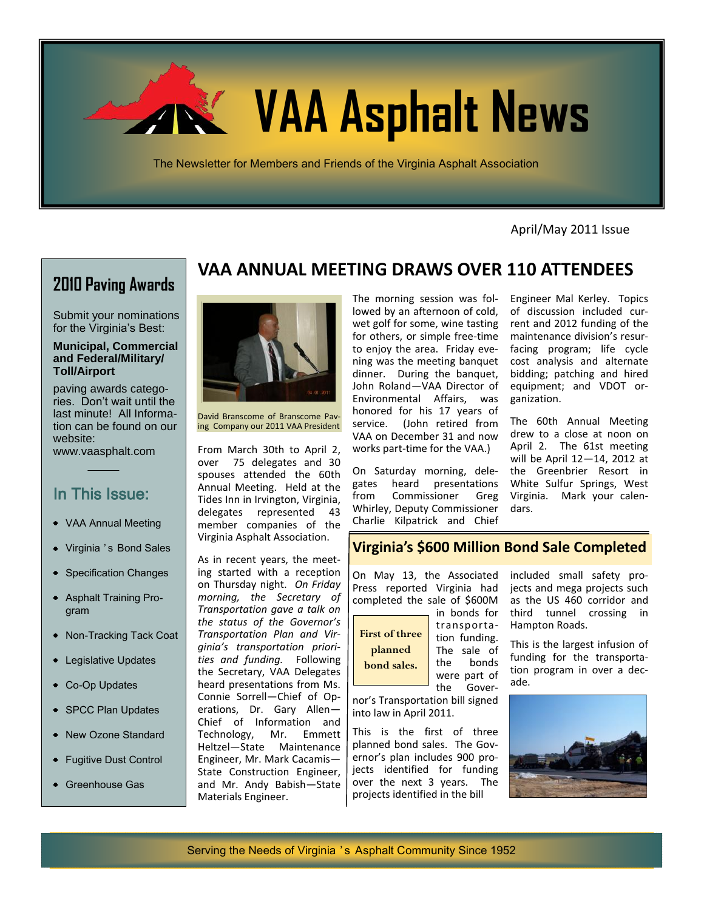

April/May 2011 Issue

# **2010 Paving Awards**

Submit your nominations for the Virginia's Best:

#### **Municipal, Commercial and Federal/Military/ Toll/Airport**

paving awards categories. Don't wait until the last minute! All Information can be found on our website:

www.vaasphalt.com

# In This Issue:

- VAA Annual Meeting
- Virginia 's Bond Sales
- Specification Changes
- Asphalt Training Program
- Non-Tracking Tack Coat
- Legislative Updates
- Co-Op Updates
- SPCC Plan Updates
- New Ozone Standard
- Fugitive Dust Control
- Greenhouse Gas

# **VAA ANNUAL MEETING DRAWS OVER 110 ATTENDEES**



David Branscome of Branscome Paving Company our 2011 VAA President

From March 30th to April 2, over 75 delegates and 30 spouses attended the 60th Annual Meeting. Held at the Tides Inn in Irvington, Virginia, delegates represented 43 member companies of the Virginia Asphalt Association.

As in recent years, the meeting started with a reception on Thursday night. *On Friday morning, the Secretary of Transportation gave a talk on the status of the Governor's Transportation Plan and Virginia's transportation priorities and funding.* Following the Secretary, VAA Delegates heard presentations from Ms. Connie Sorrell—Chief of Operations, Dr. Gary Allen— Chief of Information and Technology, Mr. Emmett Heltzel—State Maintenance Engineer, Mr. Mark Cacamis— State Construction Engineer, and Mr. Andy Babish—State Materials Engineer.

The morning session was followed by an afternoon of cold, wet golf for some, wine tasting for others, or simple free-time to enjoy the area. Friday evening was the meeting banquet dinner. During the banquet, John Roland—VAA Director of Environmental Affairs, was honored for his 17 years of service. (John retired from VAA on December 31 and now works part-time for the VAA.)

On Saturday morning, delegates heard presentations from Commissioner Greg Whirley, Deputy Commissioner Charlie Kilpatrick and Chief

Engineer Mal Kerley. Topics of discussion included current and 2012 funding of the maintenance division's resurfacing program; life cycle cost analysis and alternate bidding; patching and hired equipment; and VDOT organization.

The 60th Annual Meeting drew to a close at noon on April 2. The 61st meeting will be April 12—14, 2012 at the Greenbrier Resort in White Sulfur Springs, West Virginia. Mark your calendars.

#### **Virginia's \$600 Million Bond Sale Completed**

On May 13, the Associated Press reported Virginia had completed the sale of \$600M in bonds for



transportation funding. The sale of the bonds were part of the Gover-

nor's Transportation bill signed into law in April 2011.

This is the first of three planned bond sales. The Governor's plan includes 900 projects identified for funding over the next 3 years. The projects identified in the bill

included small safety projects and mega projects such as the US 460 corridor and third tunnel crossing in Hampton Roads.

This is the largest infusion of funding for the transportation program in over a decade.

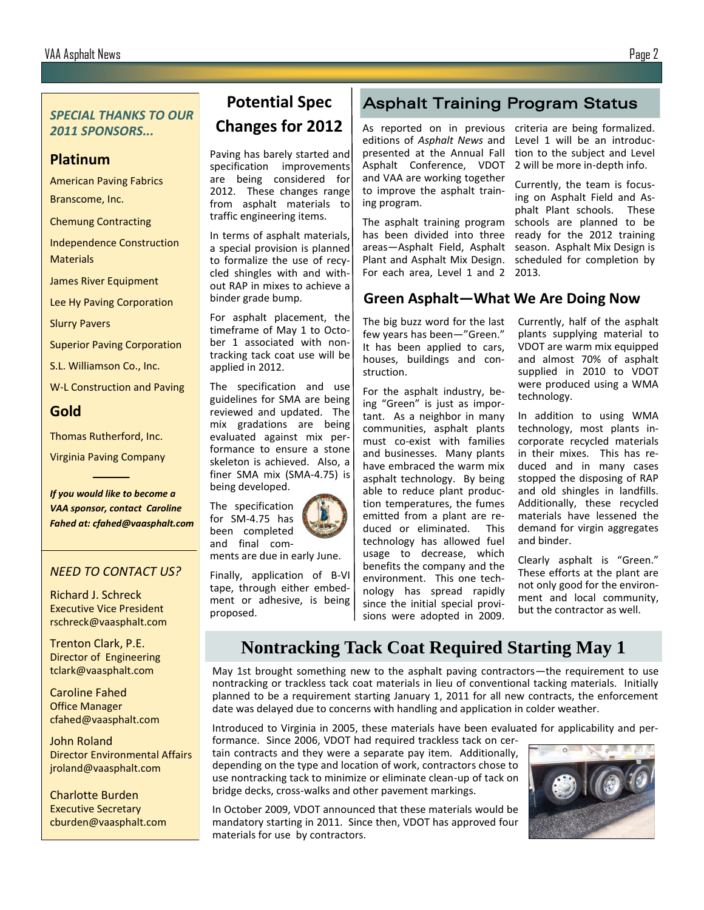#### *SPECIAL THANKS TO OUR 2011 SPONSORS...*

### **Platinum**

American Paving Fabrics

Branscome, Inc.

Chemung Contracting

Independence Construction **Materials** 

James River Equipment

Lee Hy Paving Corporation

Slurry Pavers

Superior Paving Corporation

S.L. Williamson Co., Inc.

W-L Construction and Paving

## **Gold**

Thomas Rutherford, Inc.

Virginia Paving Company

*If you would like to become a VAA sponsor, contact Caroline Fahed at: cfahed@vaasphalt.com*

#### *NEED TO CONTACT US?*

Richard J. Schreck Executive Vice President rschreck@vaasphalt.com

Trenton Clark, P.E. Director of Engineering tclark@vaasphalt.com

Caroline Fahed Office Manager cfahed@vaasphalt.com

John Roland Director Environmental Affairs jroland@vaasphalt.com

Charlotte Burden Executive Secretary cburden@vaasphalt.com

# **Potential Spec Changes for 2012**

Paving has barely started and specification improvements are being considered for 2012. These changes range from asphalt materials to traffic engineering items.

In terms of asphalt materials, a special provision is planned to formalize the use of recycled shingles with and without RAP in mixes to achieve a binder grade bump.

For asphalt placement, the timeframe of May 1 to October 1 associated with nontracking tack coat use will be applied in 2012.

The specification and use guidelines for SMA are being reviewed and updated. The mix gradations are being evaluated against mix performance to ensure a stone skeleton is achieved. Also, a finer SMA mix (SMA-4.75) is being developed.

for SM-4.75 has been completed and final com-

ments are due in early June.

Finally, application of B-VI tape, through either embedment or adhesive, is being proposed.

# Asphalt Training Program Status

As reported on in previous editions of *Asphalt News* and presented at the Annual Fall Asphalt Conference, VDOT and VAA are working together to improve the asphalt training program.

The asphalt training program has been divided into three areas—Asphalt Field, Asphalt Plant and Asphalt Mix Design. For each area, Level 1 and 2

**Green Asphalt—What We Are Doing Now**

2013.

The big buzz word for the last few years has been—"Green." It has been applied to cars, houses, buildings and construction.

For the asphalt industry, being "Green" is just as important. As a neighbor in many communities, asphalt plants must co-exist with families and businesses. Many plants have embraced the warm mix asphalt technology. By being able to reduce plant production temperatures, the fumes emitted from a plant are reduced or eliminated. This technology has allowed fuel usage to decrease, which benefits the company and the environment. This one technology has spread rapidly since the initial special provisions were adopted in 2009.

Currently, half of the asphalt plants supplying material to VDOT are warm mix equipped and almost 70% of asphalt supplied in 2010 to VDOT were produced using a WMA technology.

criteria are being formalized. Level 1 will be an introduction to the subject and Level 2 will be more in-depth info. Currently, the team is focusing on Asphalt Field and Asphalt Plant schools. These schools are planned to be ready for the 2012 training season. Asphalt Mix Design is scheduled for completion by

In addition to using WMA technology, most plants incorporate recycled materials in their mixes. This has reduced and in many cases stopped the disposing of RAP and old shingles in landfills. Additionally, these recycled materials have lessened the demand for virgin aggregates and binder.

Clearly asphalt is "Green." These efforts at the plant are not only good for the environment and local community, but the contractor as well.

# **Nontracking Tack Coat Required Starting May 1**

May 1st brought something new to the asphalt paving contractors—the requirement to use nontracking or trackless tack coat materials in lieu of conventional tacking materials. Initially planned to be a requirement starting January 1, 2011 for all new contracts, the enforcement date was delayed due to concerns with handling and application in colder weather.

Introduced to Virginia in 2005, these materials have been evaluated for applicability and per-

formance. Since 2006, VDOT had required trackless tack on certain contracts and they were a separate pay item. Additionally, depending on the type and location of work, contractors chose to use nontracking tack to minimize or eliminate clean-up of tack on bridge decks, cross-walks and other pavement markings.

In October 2009, VDOT announced that these materials would be mandatory starting in 2011. Since then, VDOT has approved four materials for use by contractors.



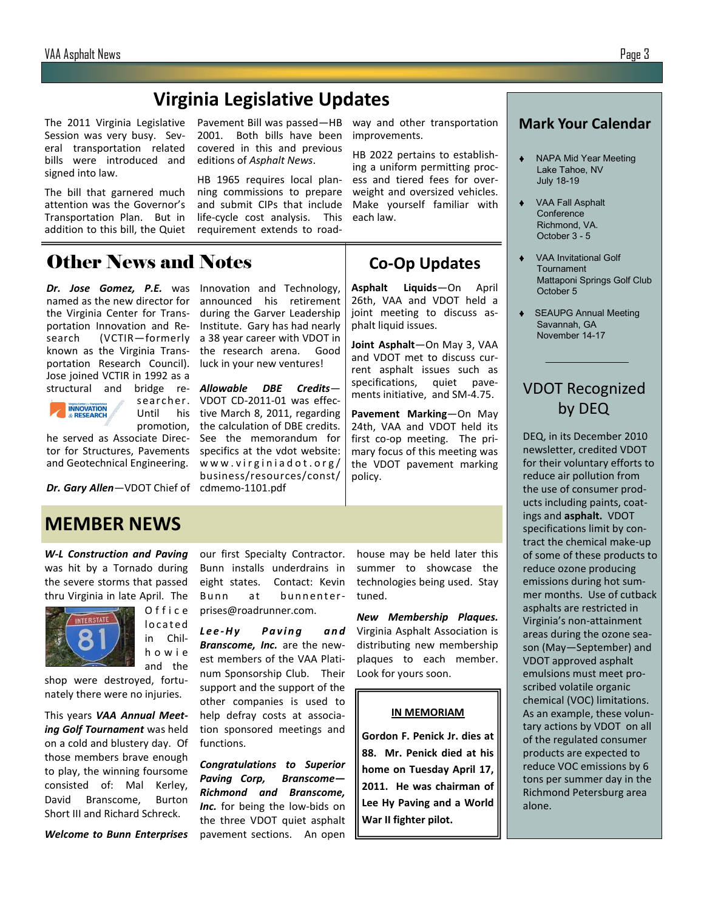# **Virginia Legislative Updates**

The 2011 Virginia Legislative Session was very busy. Several transportation related bills were introduced and signed into law.

The bill that garnered much attention was the Governor's Transportation Plan. But in addition to this bill, the Quiet

named as the new director for the Virginia Center for Transportation Innovation and Research (VCTIR—formerly known as the Virginia Transportation Research Council).

Other News and Notes

Pavement Bill was passed—HB way and other transportation 2001. Both bills have been improvements. covered in this and previous editions of *Asphalt News*.

HB 1965 requires local planning commissions to prepare and submit CIPs that include life-cycle cost analysis. This requirement extends to road-

announced his retirement during the Garver Leadership Institute. Gary has had nearly a 38 year career with VDOT in the research arena. Good luck in your new ventures!

*Allowable DBE Credits*— VDOT CD-2011-01 was effec-

HB 2022 pertains to establishing a uniform permitting process and tiered fees for overweight and oversized vehicles. Make yourself familiar with each law.

## **Co-Op Updates**

**Asphalt Liquids**—On April 26th, VAA and VDOT held a joint meeting to discuss asphalt liquid issues.

**Joint Asphalt**—On May 3, VAA and VDOT met to discuss current asphalt issues such as specifications, quiet pavements initiative, and SM-4.75.

**Pavement Marking**—On May 24th, VAA and VDOT held its first co-op meeting. The primary focus of this meeting was the VDOT pavement marking policy.

*W-L Construction and Paving*  was hit by a Tornado during the severe storms that passed thru Virginia in late April. The



O f f i c e **located** in Chilh o w i e and the

shop were destroyed, fortunately there were no injuries.

This years *VAA Annual Meeting Golf Tournament* was held on a cold and blustery day. Of those members brave enough to play, the winning foursome consisted of: Mal Kerley, David Branscome, Burton Short III and Richard Schreck.

*Welcome to Bunn Enterprises* 

our first Specialty Contractor. Bunn installs underdrains in eight states. Contact: Kevin Bunn at bunnenterprises@roadrunner.com.

*Lee-Hy Paving and Branscome, Inc.* are the newest members of the VAA Platinum Sponsorship Club. Their support and the support of the other companies is used to help defray costs at association sponsored meetings and functions.

*Congratulations to Superior Paving Corp, Branscome— Richmond and Branscome, Inc.* for being the low-bids on the three VDOT quiet asphalt pavement sections. An open house may be held later this summer to showcase the technologies being used. Stay tuned.

*New Membership Plaques.*  Virginia Asphalt Association is distributing new membership plaques to each member. Look for yours soon.

#### **IN MEMORIAM**

**Gordon F. Penick Jr. dies at 88. Mr. Penick died at his home on Tuesday April 17, 2011. He was chairman of Lee Hy Paving and a World War II fighter pilot.**

#### **Mark Your Calendar**

- NAPA Mid Year Meeting Lake Tahoe, NV July 18-19
- VAA Fall Asphalt **Conference**  Richmond, VA. October 3 - 5
- VAA Invitational Golf Tournament Mattaponi Springs Golf Club October 5
- SEAUPG Annual Meeting Savannah, GA November 14-17

# VDOT Recognized by DEQ

DEQ, in its December 2010 newsletter, credited VDOT for their voluntary efforts to reduce air pollution from the use of consumer products including paints, coatings and **asphalt.** VDOT specifications limit by contract the chemical make-up of some of these products to reduce ozone producing emissions during hot summer months. Use of cutback asphalts are restricted in Virginia's non-attainment areas during the ozone season (May—September) and VDOT approved asphalt emulsions must meet proscribed volatile organic chemical (VOC) limitations. As an example, these voluntary actions by VDOT on all of the regulated consumer products are expected to reduce VOC emissions by 6 tons per summer day in the Richmond Petersburg area alone.



his tive March 8, 2011, regarding search er. Until

Dr. Jose Gomez, P.E. was Innovation and Technology,

the calculation of DBE credits. See the memorandum for specifics at the vdot website: www.virginiadot.org/ business/resources/const/ promotion, he served as Associate Director for Structures, Pavements and Geotechnical Engineering.

Dr. Gary Allen-VDOT Chief of cdmemo-1101.pdf

**MEMBER NEWS**